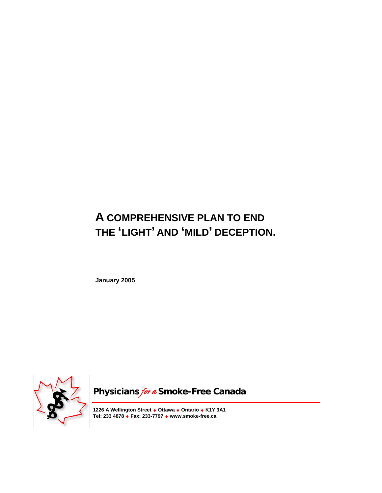# **A COMPREHENSIVE PLAN TO END THE 'LIGHT' AND 'MILD' DECEPTION.**

**January 2005** 



**Physicians for a Smoke-Free Canada** 

**1226 A Wellington Street** ♦ **Ottawa** ♦ **Ontario** ♦ **K1Y 3A1 Tel: 233 4878** ♦ **Fax: 233-7797** ♦ **www.smoke-free.ca**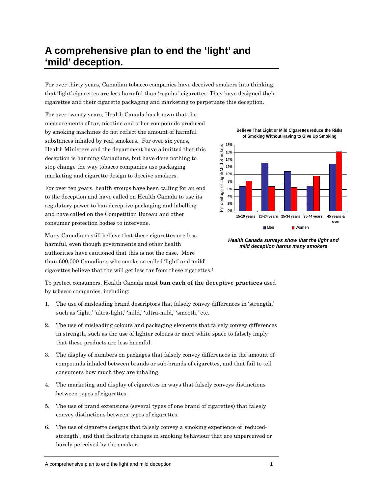# **A comprehensive plan to end the 'light' and 'mild' deception.**

For over thirty years, Canadian tobacco companies have deceived smokers into thinking that 'light' cigarettes are less harmful than 'regular' cigarettes. They have designed their cigarettes and their cigarette packaging and marketing to perpetuate this deception.

For over twenty years, Health Canada has known that the measurements of tar, nicotine and other compounds produced by smoking machines do not reflect the amount of harmful substances inhaled by real smokers. For over six years, Health Ministers and the department have admitted that this deception is harming Canadians, but have done nothing to stop change the way tobacco companies use packaging marketing and cigarette design to deceive smokers.

For over ten years, health groups have been calling for an end to the deception and have called on Health Canada to use its regulatory power to ban deceptive packaging and labelling and have called on the Competition Bureau and other consumer protection bodies to intervene.

Many Canadians still believe that these cigarettes are less harmful, even though governments and other health authorities have cautioned that this is not the case. More than 600,000 Canadians who smoke so-called 'light' and 'mild' cigarettes believe that the will get less tar from these cigarettes.1

To protect consumers, Health Canada must **ban each of the deceptive practices** used by tobacco companies, including:

- 1. The use of misleading brand descriptors that falsely convey differences in 'strength,' such as 'light,' 'ultra-light,' 'mild,' 'ultra-mild,' 'smooth,' etc.
- 2. The use of misleading colours and packaging elements that falsely convey differences in strength, such as the use of lighter colours or more white space to falsely imply that these products are less harmful.
- 3. The display of numbers on packages that falsely convey differences in the amount of compounds inhaled between brands or sub-brands of cigarettes, and that fail to tell consumers how much they are inhaling.
- 4. The marketing and display of cigarettes in ways that falsely conveys distinctions between types of cigarettes.
- 5. The use of brand extensions (several types of one brand of cigarettes) that falsely convey distinctions between types of cigarettes.
- 6. The use of cigarette designs that falsely convey a smoking experience of 'reducedstrength', and that facilitate changes in smoking behaviour that are unperceived or barely perceived by the smoker.

**Believe That Light or Mild Cigarettes reduce the Risks of Smoking Without Having to Give Up Smoking**



*Health Canada surveys show that the light and mild deception harms many smokers*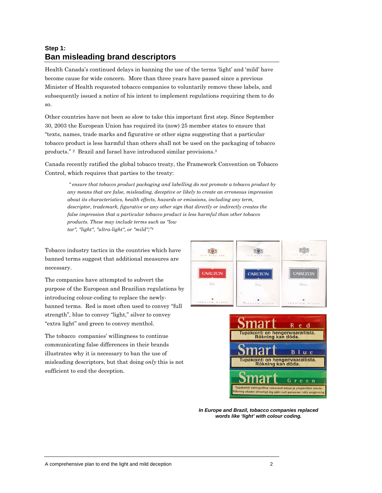# **Step 1: Ban misleading brand descriptors**

Health Canada's continued delays in banning the use of the terms 'light' and 'mild' have become cause for wide concern. More than three years have passed since a previous Minister of Health requested tobacco companies to voluntarily remove these labels, and subsequently issued a notice of his intent to implement regulations requiring them to do so.

Other countries have not been so slow to take this important first step. Since September 30, 2003 the European Union has required its (now) 25 member states to ensure that "texts, names, trade marks and figurative or other signs suggesting that a particular tobacco product is less harmful than others shall not be used on the packaging of tobacco products." 2 Brazil and Israel have introduced similar provisions.3

Canada recently ratified the global tobacco treaty, the Framework Convention on Tobacco Control, which requires that parties to the treaty:

 *" ensure that tobacco product packaging and labelling do not promote a tobacco product by any means that are false, misleading, deceptive or likely to create an erroneous impression about its characteristics, health effects, hazards or emissions, including any term, descriptor, trademark, figurative or any other sign that directly or indirectly creates the false impression that a particular tobacco product is less harmful than other tobacco products. These may include terms such as "low tar", "light", "ultra-light", or "mild";"4*

Tobacco industry tactics in the countries which have banned terms suggest that additional measures are necessary.

The companies have attempted to subvert the purpose of the European and Brazilian regulations by introducing colour-coding to replace the newlybanned terms. Red is most often used to convey "full strength", blue to convey "light," silver to convey "extra light" and green to convey menthol.

The tobacco companies' willingness to continue communicating false differences in their brands illustrates why it is necessary to ban the use of misleading descriptors, but that doing *only* this is not sufficient to end the deception.





*In Europe and Brazil, tobacco companies replaced words like 'light' with colour coding.*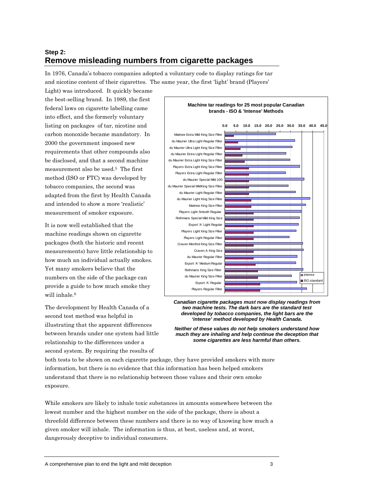# **Step 2: Remove misleading numbers from cigarette packages**

In 1976, Canada's tobacco companies adopted a voluntary code to display ratings for tar and nicotine content of their cigarettes. The same year, the first 'light' brand (Players'

Light) was introduced. It quickly became the best-selling brand. In 1989, the first federal laws on cigarette labelling came into effect, and the formerly voluntary listing on packages of tar, nicotine and carbon monoxide became mandatory. In 2000 the government imposed new requirements that other compounds also be disclosed, and that a second machine measurement also be used.5 The first method (ISO or FTC) was developed by tobacco companies, the second was adapted from the first by Health Canada and intended to show a more 'realistic' measurement of smoker exposure.

It is now well established that the machine readings shown on cigarette packages (both the historic and recent measurements) have little relationship to how much an individual actually smokes. Yet many smokers believe that the numbers on the side of the package can provide a guide to how much smoke they will inhale.<sup>6</sup>

The development by Health Canada of a second test method was helpful in illustrating that the apparent differences between brands under one system had little relationship to the differences under a second system. By requiring the results of



*Canadian cigarette packages must now display readings from two machine tests. The dark bars are the standard test developed by tobacco companies, the light bars are the 'intense' method developed by Health Canada.* 

*Neither of these values do not help smokers understand how much they are inhaling and help continue the deception that some cigarettes are less harmful than others.* 

both tests to be shown on each cigarette package, they have provided smokers with more information, but there is no evidence that this information has been helped smokers understand that there is no relationship between those values and their own smoke exposure.

While smokers are likely to inhale toxic substances in amounts somewhere between the lowest number and the highest number on the side of the package, there is about a threefold difference between these numbers and there is no way of knowing how much a given smoker will inhale. The information is thus, at best, useless and, at worst, dangerously deceptive to individual consumers.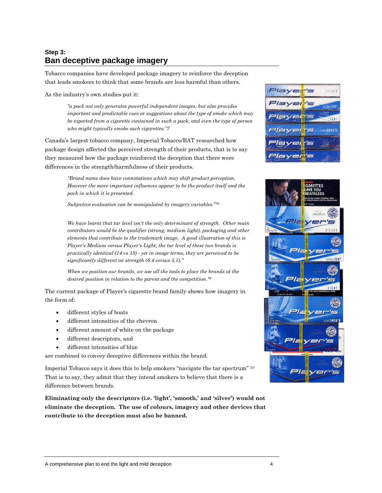# **Step 3: Ban deceptive package imagery**

Tobacco companies have developed package imagery to reinforce the deception that leads smokers to think that some brands are less harmful than others.

As the industry's own studies put it:

*"a pack not only generates powerful independent images, but also provides important and predictable cues or suggestions about the type of smoke which may be expected from a cigarette contained in such a pack, and even the type of person who might typically smoke such cigarettes."7* 

Canada's largest tobacco company, Imperial Tobacco/BAT researched how package design affected the perceived strength of their products, that is to say they measured how the package reinforced the deception that there were differences in the strength/harmfulness of their products.

> *"Brand name does have connotations which may shift product perception. However the more important influences appear to be the product itself and the pack in which it is presented.*

*Subjective evaluation can be manipulated by imagery variables.""8*

*We have learnt that tar level isn't the only determinant of strength. Other main contributors would be the qualifier (strong, medium light), packaging and other elements that contribute to the trademark image. A good illustration of this is Player's Medium versus Player's Light; the tar level of these two brands is practically identical (14 vs 13) - yet in image terms, they are perceived to be significantly different on strength (6.4 versus 5.1)."* 

*When we position our brands, we use all the tools to place the brands at the desired position in relation to the parent and the competition."9*

The current package of Player's cigarette brand family shows how imagery in the form of:

- different styles of boats
- different intensities of the chevron
- different amount of white on the package
- different descriptors, and
- different intensities of blue

are combined to convey deceptive differences within the brand.

Imperial Tobacco says it does this to help smokers "navigate the tar spectrum" 10 That is to say, they admit that they intend smokers to believe that there is a difference between brands.

**Eliminating only the descriptors (i.e. 'light', 'smooth,' and 'silver') would not eliminate the deception. The use of colours, imagery and other devices that contribute to the deception must also be banned.** 



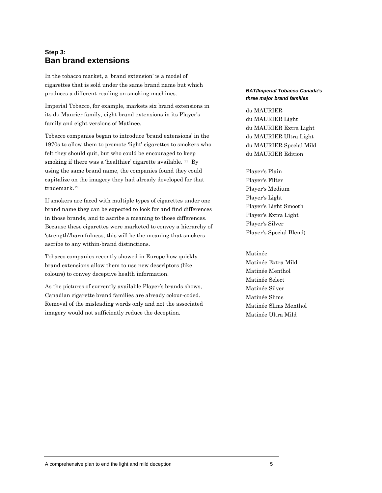### **Step 3: Ban brand extensions**

In the tobacco market, a 'brand extension' is a model of cigarettes that is sold under the same brand name but which produces a different reading on smoking machines.

Imperial Tobacco, for example, markets six brand extensions in its du Maurier family, eight brand extensions in its Player's family and eight versions of Matinee.

Tobacco companies began to introduce 'brand extensions' in the 1970s to allow them to promote 'light' cigarettes to smokers who felt they should quit, but who could be encouraged to keep smoking if there was a 'healthier' cigarette available. <sup>11</sup> By using the same brand name, the companies found they could capitalize on the imagery they had already developed for that trademark.12

If smokers are faced with multiple types of cigarettes under one brand name they can be expected to look for and find differences in those brands, and to ascribe a meaning to those differences. Because these cigarettes were marketed to convey a hierarchy of 'strength'/harmfulness, this will be the meaning that smokers ascribe to any within-brand distinctions.

Tobacco companies recently showed in Europe how quickly brand extensions allow them to use new descriptors (like colours) to convey deceptive health information.

As the pictures of currently available Player's brands shows, Canadian cigarette brand families are already colour-coded. Removal of the misleading words only and not the associated imagery would not sufficiently reduce the deception.

#### *BAT/Imperial Tobacco Canada's three major brand families*

du MAURIER du MAURIER Light du MAURIER Extra Light du MAURIER Ultra Light du MAURIER Special Mild du MAURIER Edition

Player's Plain Player's Filter Player's Medium Player's Light Player's Light Smooth Player's Extra Light Player's Silver Player's Special Blend)

Matinée Matinée Extra Mild Matinée Menthol Matinée Select Matinée Silver Matinée Slims Matinée Slims Menthol Matinée Ultra Mild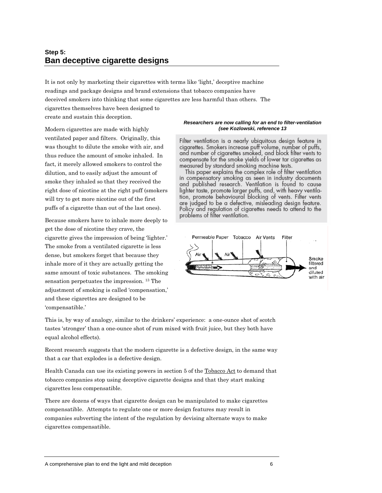### **Step 5: Ban deceptive cigarette designs**

It is not only by marketing their cigarettes with terms like 'light,' deceptive machine readings and package designs and brand extensions that tobacco companies have deceived smokers into thinking that some cigarettes are less harmful than others. The cigarettes themselves have been designed to create and sustain this deception.

Modern cigarettes are made with highly ventilated paper and filters. Originally, this was thought to dilute the smoke with air, and thus reduce the amount of smoke inhaled. In fact, it merely allowed smokers to control the dilution, and to easily adjust the amount of smoke they inhaled so that they received the right dose of nicotine at the right puff (smokers will try to get more nicotine out of the first puffs of a cigarette than out of the last ones).

Because smokers have to inhale more deeply to get the dose of nicotine they crave, the cigarette gives the impression of being 'lighter.' The smoke from a ventilated cigarette is less dense, but smokers forget that because they inhale more of it they are actually getting the same amount of toxic substances. The smoking sensation perpetuates the impression. 13 The adjustment of smoking is called 'compensation,' and these cigarettes are designed to be 'compensatible.'

#### *Researchers are now calling for an end to filter-ventilation (see Kozlowski, reference 13*

Filter ventilation is a nearly ubiquitous design feature in cigarettes. Smokers increase puff volume, number of puffs, and number of cigarettes smoked, and block filter vents to compensate for the smoke yields of lower tar cigarettes as measured by standard smoking machine tests.

This paper explains the complex role of filter ventilation in compensatory smoking as seen in industry documents and published research. Ventilation is found to cause lighter taste, promote larger puffs, and, with heavy ventila-<br>tion, promote behavioural blocking of vents. Filter vents are judged to be a defective, misleading design feature. Policy and regulation of cigarettes needs to attend to the problems of filter ventilation.



This is, by way of analogy, similar to the drinkers' experience: a one-ounce shot of scotch tastes 'stronger' than a one-ounce shot of rum mixed with fruit juice, but they both have equal alcohol effects).

Recent research suggests that the modern cigarette is a defective design, in the same way that a car that explodes is a defective design.

Health Canada can use its existing powers in section 5 of the Tobacco Act to demand that tobacco companies stop using deceptive cigarette designs and that they start making cigarettes less compensatible.

There are dozens of ways that cigarette design can be manipulated to make cigarettes compensatible. Attempts to regulate one or more design features may result in companies subverting the intent of the regulation by devising alternate ways to make cigarettes compensatible.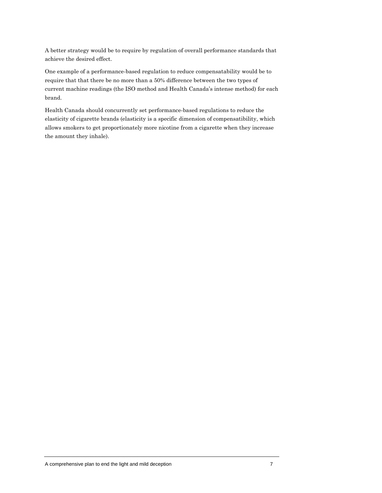A better strategy would be to require by regulation of overall performance standards that achieve the desired effect.

One example of a performance-based regulation to reduce compensatability would be to require that that there be no more than a 50% difference between the two types of current machine readings (the ISO method and Health Canada's intense method) for each brand.

Health Canada should concurrently set performance-based regulations to reduce the elasticity of cigarette brands (elasticity is a specific dimension of compensatibility, which allows smokers to get proportionately more nicotine from a cigarette when they increase the amount they inhale).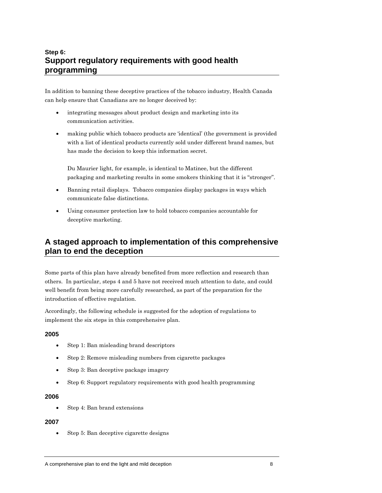# **Step 6: Support regulatory requirements with good health programming**

In addition to banning these deceptive practices of the tobacco industry, Health Canada can help ensure that Canadians are no longer deceived by:

- integrating messages about product design and marketing into its communication activities.
- making public which tobacco products are 'identical' (the government is provided with a list of identical products currently sold under different brand names, but has made the decision to keep this information secret.

Du Maurier light, for example, is identical to Matinee, but the different packaging and marketing results in some smokers thinking that it is "stronger".

- Banning retail displays. Tobacco companies display packages in ways which communicate false distinctions.
- Using consumer protection law to hold tobacco companies accountable for deceptive marketing.

# **A staged approach to implementation of this comprehensive plan to end the deception**

Some parts of this plan have already benefited from more reflection and research than others. In particular, steps 4 and 5 have not received much attention to date, and could well benefit from being more carefully researched, as part of the preparation for the introduction of effective regulation.

Accordingly, the following schedule is suggested for the adoption of regulations to implement the six steps in this comprehensive plan.

### **2005**

- Step 1: Ban misleading brand descriptors
- Step 2: Remove misleading numbers from cigarette packages
- Step 3: Ban deceptive package imagery
- Step 6: Support regulatory requirements with good health programming

### **2006**

• Step 4: Ban brand extensions

### **2007**

• Step 5: Ban deceptive cigarette designs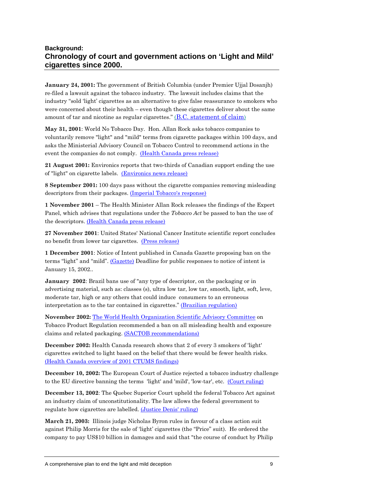### **Background: Chronology of court and government actions on 'Light and Mild' cigarettes since 2000.**

**January 24, 2001:** The government of British Columbia (under Premier Ujjal Dosanjh) re-filed a lawsuit against the tobacco industry. The lawsuit includes claims that the industry "sold 'light' cigarettes as an alternative to give false reassurance to smokers who were concerned about their health – even though these cigarettes deliver about the same amount of tar and nicotine as regular cigarettes." (B.C. statement of claim)

**May 31, 2001**: World No Tobacco Day. Hon. Allan Rock asks tobacco companies to voluntarily remove "light" and "mild" terms from cigarette packages within 100 days, and asks the Ministerial Advisory Council on Tobacco Control to recommend actions in the event the companies do not comply. (Health Canada press release)

**21 August 2001:** Environics reports that two-thirds of Canadian support ending the use of "light" on cigarette labels. (Environics news release)

**8 September 2001:** 100 days pass without the cigarette companies removing misleading descriptors from their packages. (Imperial Tobacco's response)

**1 November 2001** – The Health Minister Allan Rock releases the findings of the Expert Panel, which advises that regulations under the *Tobacco Act* be passed to ban the use of the descriptors. (Health Canada press release)

**27 November 2001**: United States' National Cancer Institute scientific report concludes no benefit from lower tar cigarettes. (Press release)

**1 December 2001**: Notice of Intent published in Canada Gazette proposing ban on the terms "light" and "mild". (Gazette) Deadline for public responses to notice of intent is January 15, 2002..

**January 2002**: Brazil bans use of "any type of descriptor, on the packaging or in advertising material, such as: classes (s), ultra low tar, low tar, smooth, light, soft, leve, moderate tar, high or any others that could induce consumers to an erroneous interpretation as to the tar contained in cigarettes." (Brazilian regulation)

**November 2002:** The World Health Organization Scientific Advisory Committee on Tobacco Product Regulation recommended a ban on all misleading health and exposure claims and related packaging. (SACTOB recommendations)

**December 2002:** Health Canada research shows that 2 of every 3 smokers of 'light' cigarettes switched to light based on the belief that there would be fewer health risks. (Health Canada overview of 2001 CTUMS findings)

**December 10, 2002:** The European Court of Justice rejected a tobacco industry challenge to the EU directive banning the terms 'light' and 'mild', 'low-tar', etc. (Court ruling)

**December 13, 2002**: The Quebec Superior Court upheld the federal Tobacco Act against an industry claim of unconstitutionality. The law allows the federal government to regulate how cigarettes are labelled. (Justice Denis' ruling)

**March 21, 2003:** Illinois judge Nicholas Byron rules in favour of a class action suit against Philip Morris for the sale of 'light' cigarettes (the "Price" suit). He ordered the company to pay US\$10 billion in damages and said that "the course of conduct by Philip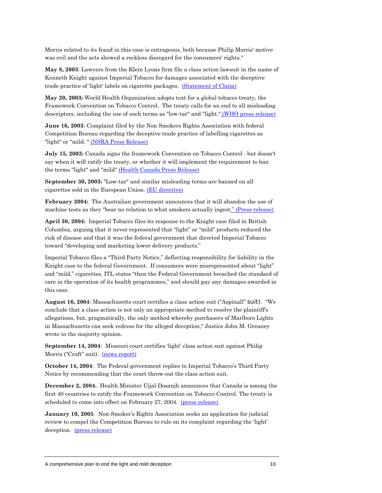Morris related to its fraud in this case is outrageous, both because Philip Morris' motive was evil and the acts showed a reckless disregard for the consumers' rights."

**May 8, 2003**: Lawyers from the Klein Lyons firm file a class action lawsuit in the name of Kenneth Knight against Imperial Tobacco for damages associated with the deceptive trade practice of 'light' labels on cigarette packages. (Statement of Claim)

**May 20, 2003:** World Health Organization adopts text for a global tobacco treaty, the Framework Convention on Tobacco Control. The treaty calls for an end to all misleading descriptors, including the use of such terms as "low-tar" and "light." (WHO press release)

**June 16, 2003**: Complaint filed by the Non Smokers Rights Association with federal Competition Bureau regarding the deceptive trade practice of labelling cigarettes as "light" or "mild. " (NSRA Press Release)

**July 15, 2003:** Canada signs the framework Convention on Tobacco Control - but doesn't say when it will ratify the treaty, or whether it will implement the requirement to ban the terms "light" and "mild" (Health Canada Press Release)

**September 30, 2003:** "Low-tar" and similar misleading terms are banned on all cigarettes sold in the European Union. (EU directive)

**February 2004:** The Australian government announces that it will abandon the use of machine tests as they "bear no relation to what smokers actually ingest." (Press release)

**April 30, 2004:** Imperial Tobacco files its response to the Knight case filed in British Columbia, arguing that it never represented that "light" or "mild" products reduced the risk of disease and that it was the federal government that directed Imperial Tobacco toward "developing and marketing lower delivery products."

Imperial Tobacco files a "Third Party Notice," deflecting responsibility for liability in the Knight case to the federal Government. If consumers were misrepresented about "light" and "mild," cigarettes, ITL states "then the Federal Government breached the standard of care in the operation of its health programmes," and should pay any damages awarded in this case.

**August 16, 2004**: Massachusetts court certifies a class action suit ("Aspinall" suit). "We conclude that a class action is not only an appropriate method to resolve the plaintiff's allegations, but, pragmatically, the only method whereby purchasers of Marlboro Lights in Massachusetts can seek redress for the alleged deception," Justice John M. Greaney wrote in the majority opinion.

**September 14, 2004**: Missouri court certifies 'light' class action suit against Philip Morris ("Craft" suit). <u>(news report)</u>

**October 14, 2004**: The Federal government replies to Imperial Tobacco's Third Party Notice by recommending that the court throw-out the class action suit.

**December 2, 2004.** Health Minister Ujjal Dosanjh announces that Canada is among the first 40 countries to ratify the Framework Convention on Tobacco Control. The treaty is scheduled to come into effect on February 27, 2004. (press release)

**January 10, 2005**. Non-Smoker's Rights Association seeks an application for judicial review to compel the Competition Bureau to rule on its complaint regarding the 'light' deception. (press release)